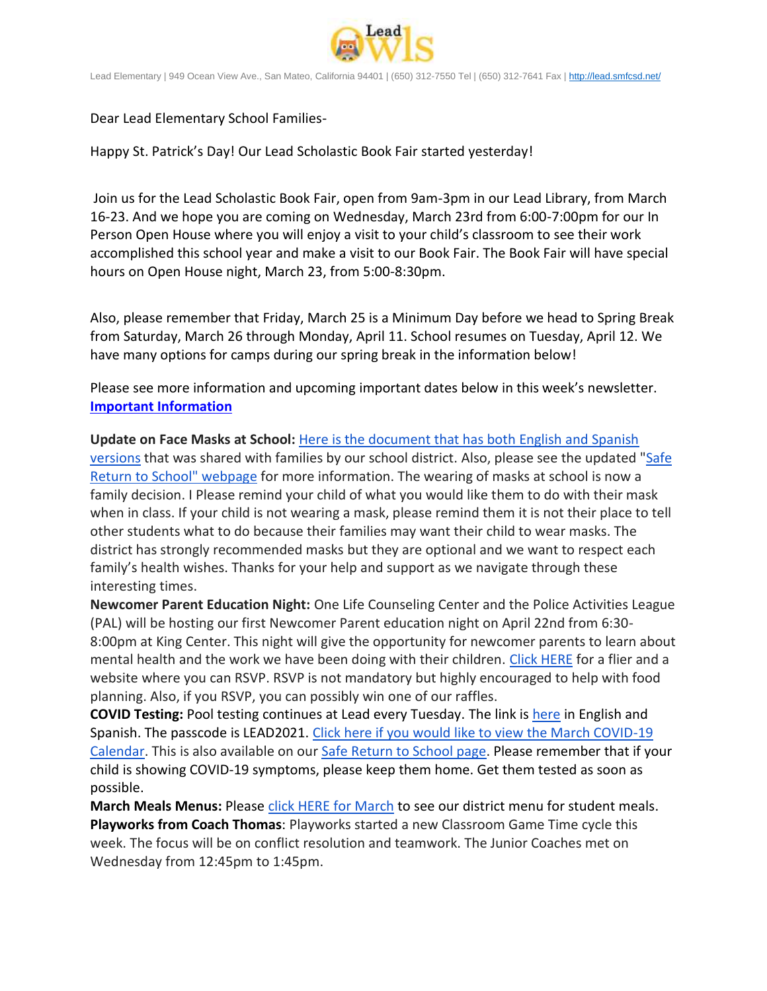

Lead Elementary | 949 Ocean View Ave., San Mateo, California 94401 | (650) 312-7550 Tel | (650) 312-7641 Fax [| http://lead.smfcsd.net/](http://lead.smfcsd.net/)

Dear Lead Elementary School Families-

Happy St. Patrick's Day! Our Lead Scholastic Book Fair started yesterday!

Join us for the Lead Scholastic Book Fair, open from 9am-3pm in our Lead Library, from March 16-23. And we hope you are coming on Wednesday, March 23rd from 6:00-7:00pm for our In Person Open House where you will enjoy a visit to your child's classroom to see their work accomplished this school year and make a visit to our Book Fair. The Book Fair will have special hours on Open House night, March 23, from 5:00-8:30pm.

Also, please remember that Friday, March 25 is a Minimum Day before we head to Spring Break from Saturday, March 26 through Monday, April 11. School resumes on Tuesday, April 12. We have many options for camps during our spring break in the information below!

Please see more information and upcoming important dates below in this week's newsletter. **Important Information**

**Update on Face Masks at School:** [Here is the document that has both English and Spanish](https://docs.google.com/document/d/14RabQzje3oiOge75zYmDPaK12FMLV5qdBhUkUTcAVEA/edit?usp=sharing)  [versions](https://docs.google.com/document/d/14RabQzje3oiOge75zYmDPaK12FMLV5qdBhUkUTcAVEA/edit?usp=sharing) that was shared with families by our school district. Also, please see the updated ["Safe](http://www.smfcsd.net/en/covid-19-updates-resources/covid-19-updates.html)  [Return to School" webpage](http://www.smfcsd.net/en/covid-19-updates-resources/covid-19-updates.html) for more information. The wearing of masks at school is now a family decision. I Please remind your child of what you would like them to do with their mask when in class. If your child is not wearing a mask, please remind them it is not their place to tell other students what to do because their families may want their child to wear masks. The district has strongly recommended masks but they are optional and we want to respect each family's health wishes. Thanks for your help and support as we navigate through these interesting times.

**Newcomer Parent Education Night:** One Life Counseling Center and the Police Activities League (PAL) will be hosting our first Newcomer Parent education night on April 22nd from 6:30- 8:00pm at King Center. This night will give the opportunity for newcomer parents to learn about mental health and the work we have been doing with their children. [Click HERE](https://drive.google.com/file/d/1mlx9RF4V8cO9V9p-bSU89XQvuxcIFgK1/view?usp=sharing) for a flier and a website where you can RSVP. RSVP is not mandatory but highly encouraged to help with food planning. Also, if you RSVP, you can possibly win one of our raffles.

**COVID Testing:** Pool testing continues at Lead every Tuesday. The link is [here](https://testcenter.concentricbyginkgo.com/minor-consent/) in English and Spanish. The passcode is LEAD2021. Click here if you would like to view the March COVID-19 [Calendar.](http://www.smfcsd.net/en/assets/files/Communications/COVID-19/COVID-19%20School%20Testing%20-%20March.pdf) This is also available on our [Safe Return to School page.](http://www.smfcsd.net/en/covid-19-updates-resources/covid-19-updates.html) Please remember that if your child is showing COVID-19 symptoms, please keep them home. Get them tested as soon as possible.

**March Meals Menus:** Please [click HERE for March](https://drive.google.com/file/d/1I8hhsV4cMRD2tJaJ0yewpuZ-BIcTTJhA/view?usp=sharing) to see our district menu for student meals. **Playworks from Coach Thomas**: Playworks started a new Classroom Game Time cycle this week. The focus will be on conflict resolution and teamwork. The Junior Coaches met on Wednesday from 12:45pm to 1:45pm.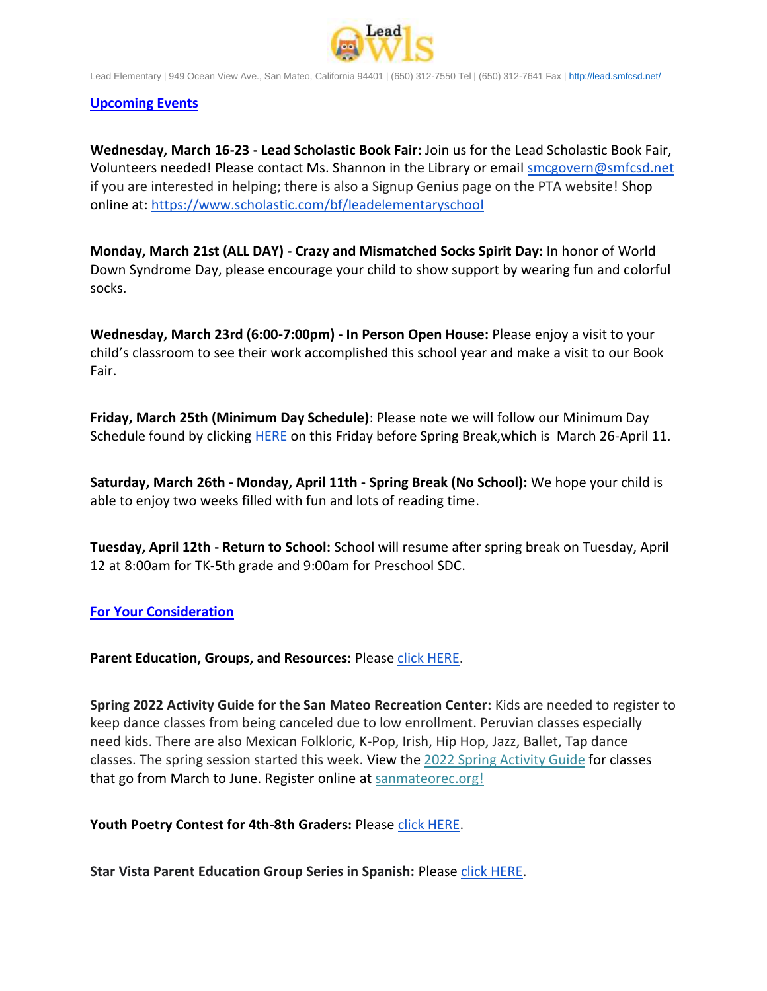

Lead Elementary | 949 Ocean View Ave., San Mateo, California 94401 | (650) 312-7550 Tel | (650) 312-7641 Fax [| http://lead.smfcsd.net/](http://lead.smfcsd.net/)

## **Upcoming Events**

**Wednesday, March 16-23 - Lead Scholastic Book Fair:** Join us for the Lead Scholastic Book Fair, Volunteers needed! Please contact Ms. Shannon in the Library or email [smcgovern@smfcsd.net](mailto:smcgovern@smfcsd.net) if you are interested in helping; there is also a Signup Genius page on the PTA website! Shop online at: <https://www.scholastic.com/bf/leadelementaryschool>

**Monday, March 21st (ALL DAY) - Crazy and Mismatched Socks Spirit Day:** In honor of World Down Syndrome Day, please encourage your child to show support by wearing fun and colorful socks.

**Wednesday, March 23rd (6:00-7:00pm) - In Person Open House:** Please enjoy a visit to your child's classroom to see their work accomplished this school year and make a visit to our Book Fair.

**Friday, March 25th (Minimum Day Schedule)**: Please note we will follow our Minimum Day Schedule found by clicking [HERE](https://drive.google.com/file/d/1MubdqKmB9dvSEzOFFg_MljXu8Dclin1L/view?usp=sharing) on this Friday before Spring Break, which is March 26-April 11.

**Saturday, March 26th - Monday, April 11th - Spring Break (No School):** We hope your child is able to enjoy two weeks filled with fun and lots of reading time.

**Tuesday, April 12th - Return to School:** School will resume after spring break on Tuesday, April 12 at 8:00am for TK-5th grade and 9:00am for Preschool SDC.

## **For Your Consideration**

Parent Education, Groups, and Resources: Please [click HERE.](https://docs.google.com/document/d/1qzaxcwGAK8gv58dhaidz5TU9mVxH_kI5he9dnoyC8pQ/edit?usp=sharing)

**Spring 2022 Activity Guide for the San Mateo Recreation Center:** Kids are needed to register to keep dance classes from being canceled due to low enrollment. Peruvian classes especially need kids. There are also Mexican Folkloric, K-Pop, Irish, Hip Hop, Jazz, Ballet, Tap dance classes. The spring session started this week. View the [2022 Spring Activity Guide](https://r20.rs6.net/tn.jsp?f=0017Df3wQ8l49THm16g0L34RJ5MHvYHYz3FDIMlR8Q05W4nWBrv_9MOyYKT08BQONTZnNxi96HD0Qv0mQZC-__QY_HdrksxjzeWAl0tBUytewrIhPOX-R1Ho7F78dJc3yJzVjBf71QDs4hDRuOJXU02l0yl_k68pXNOpErecefv4IoRkubcuGhqHg==&c=D4HMR9BZlGCRGrByxzjsj7YE4GQMeqBN6zyZMl6Z0HKr1cKQD1xtQg==&ch=hFtxS6TKGRNOxEPkxcRy6Nr_s5k5pQJaqpIVTrRxAPtHPrITQJZNbQ==) for classes that go from March to June. Register online at [sanmateorec.org!](https://r20.rs6.net/tn.jsp?f=0017Df3wQ8l49THm16g0L34RJ5MHvYHYz3FDIMlR8Q05W4nWBrv_9MOyWrx85Gk-LcMW0hmzJwSKM_ha3iXFtXIy9Ijfa6wM7DMBjJOECnEbnJTvCG3BgU_jNiviyVUqVH_saZUnoxRRyI3ntXXIW1yAEl2NJUvsktPcT0a3WxaBMGLue5m-p-oHw==&c=D4HMR9BZlGCRGrByxzjsj7YE4GQMeqBN6zyZMl6Z0HKr1cKQD1xtQg==&ch=hFtxS6TKGRNOxEPkxcRy6Nr_s5k5pQJaqpIVTrRxAPtHPrITQJZNbQ==)

## **Youth Poetry Contest for 4th-8th Graders:** Please [click HERE.](https://drive.google.com/file/d/1HfYLx1C8xCJy__ejiGWxcxqFcdrzcVUc/view?usp=sharing)

**Star Vista Parent Education Group Series in Spanish:** Please [click HERE.](https://drive.google.com/file/d/14PtcQUVQcjh9u2ea5ntZsQYKu1GpHxvF/view?usp=sharing)